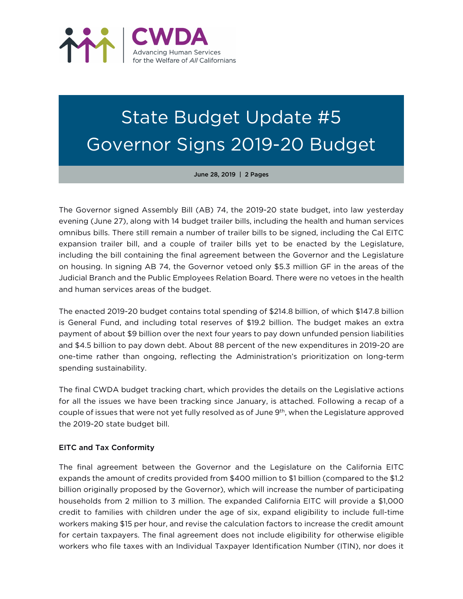

## State Budget Update #5 Governor Signs 2019-20 Budget

June 28, 2019 | 2 Pages

The Governor signed Assembly Bill (AB) 74, the 2019-20 state budget, into law yesterday evening (June 27), along with 14 budget trailer bills, including the health and human services omnibus bills. There still remain a number of trailer bills to be signed, including the Cal EITC expansion trailer bill, and a couple of trailer bills yet to be enacted by the Legislature, including the bill containing the final agreement between the Governor and the Legislature on housing. In signing AB 74, the Governor vetoed only \$5.3 million GF in the areas of the Judicial Branch and the Public Employees Relation Board. There were no vetoes in the health and human services areas of the budget.

The enacted 2019-20 budget contains total spending of \$214.8 billion, of which \$147.8 billion is General Fund, and including total reserves of \$19.2 billion. The budget makes an extra payment of about \$9 billion over the next four years to pay down unfunded pension liabilities and \$4.5 billion to pay down debt. About 88 percent of the new expenditures in 2019-20 are one-time rather than ongoing, reflecting the Administration's prioritization on long-term spending sustainability.

The final CWDA budget tracking chart, which provides the details on the Legislative actions for all the issues we have been tracking since January, is attached. Following a recap of a couple of issues that were not yet fully resolved as of June 9th, when the Legislature approved the 2019-20 state budget bill.

## EITC and Tax Conformity

The final agreement between the Governor and the Legislature on the California EITC expands the amount of credits provided from \$400 million to \$1 billion (compared to the \$1.2 billion originally proposed by the Governor), which will increase the number of participating households from 2 million to 3 million. The expanded California EITC will provide a \$1,000 credit to families with children under the age of six, expand eligibility to include full-time workers making \$15 per hour, and revise the calculation factors to increase the credit amount for certain taxpayers. The final agreement does not include eligibility for otherwise eligible workers who file taxes with an Individual Taxpayer Identification Number (ITIN), nor does it